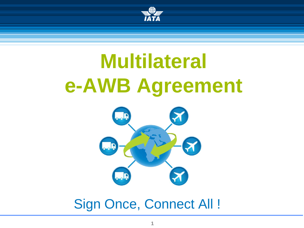

# **Multilateral e-AWB Agreement**



Sign Once, Connect All !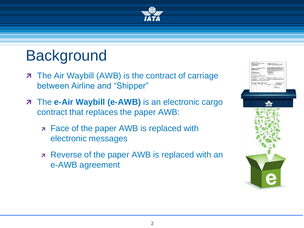

# **Background**

- **7** The Air Waybill (AWB) is the contract of carriage between Airline and "Shipper"
- **7** The **e-Air Waybill (e-AWB)** is an electronic cargo contract that replaces the paper AWB:
	- **Face of the paper AWB is replaced with** electronic messages
	- **Reverse of the paper AWB is replaced with an** e-AWB agreement

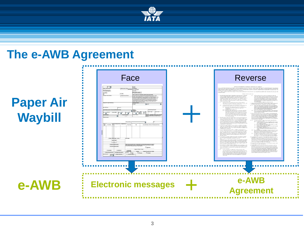

### **The e-AWB Agreement**

### **Paper Air Waybill**

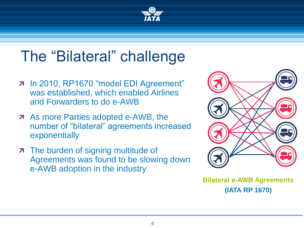

# The "Bilateral" challenge

- 7 In 2010, RP1670 "model EDI Agreement" was established, which enabled Airlines and Forwarders to do e-AWB
- **As more Parties adopted e-AWB, the** number of "bilateral" agreements increased exponentially
- **7** The burden of signing multitude of Agreements was found to be slowing down e-AWB adoption in the industry



**Bilateral e-AWB Agreements (IATA RP 1670)**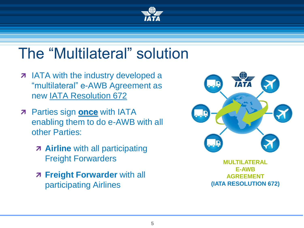

## The "Multilateral" solution

- **7** IATA with the industry developed a "multilateral" e-AWB Agreement as new [IATA Resolution 672](http://www.iata.org/whatwedo/cargo/e/eawb/Documents/eawb-resolution-672.pdf)
- **7** Parties sign **once** with IATA enabling them to do e-AWB with all other Parties:
	- **Airline** with all participating Freight Forwarders
	- **Freight Forwarder** with all participating Airlines



**MULTILATERAL E-AWB AGREEMENT (IATA RESOLUTION 672)**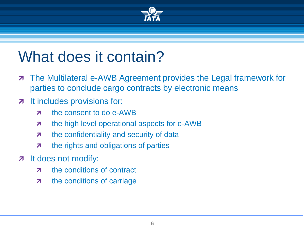

### What does it contain?

- **The Multilateral e-AWB Agreement provides the Legal framework for** parties to conclude cargo contracts by electronic means
- **7** It includes provisions for:
	- **z** the consent to do e-AWB
	- $\pi$  the high level operational aspects for e-AWB
	- **7** the confidentiality and security of data
	- **7** the rights and obligations of parties
- z It does not modify:
	- z the conditions of contract
	- **7** the conditions of carriage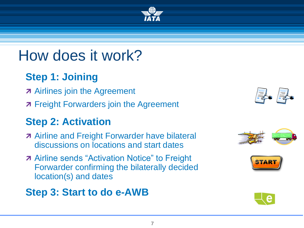### How does it work?

### **Step 1: Joining**

- **A** Airlines join the Agreement
- **7** Freight Forwarders join the Agreement

### **Step 2: Activation**

- **A** Airline and Freight Forwarder have bilateral discussions on locations and start dates
- **A** Airline sends "Activation Notice" to Freight Forwarder confirming the bilaterally decided location(s) and dates

### **Step 3: Start to do e-AWB**









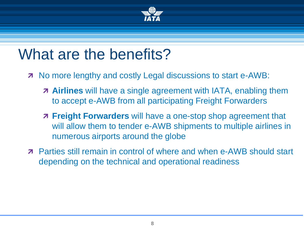

### What are the benefits?

- **T** No more lengthy and costly Legal discussions to start e-AWB:
	- **Airlines** will have a single agreement with IATA, enabling them to accept e-AWB from all participating Freight Forwarders
	- **Freight Forwarders** will have a one-stop shop agreement that will allow them to tender e-AWB shipments to multiple airlines in numerous airports around the globe
- Parties still remain in control of where and when e-AWB should start depending on the technical and operational readiness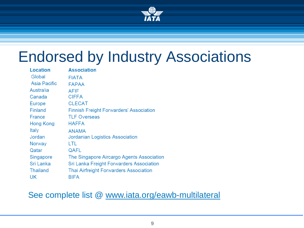

### Endorsed by Industry Associations

| <b>Location</b> | <b>Association</b>                             |
|-----------------|------------------------------------------------|
| Global          | <b>FIATA</b>                                   |
| Asia Pacific    | <b>FAPAA</b>                                   |
| Australia       | <b>AFIF</b>                                    |
| Canada          | <b>CIFFA</b>                                   |
| <b>Europe</b>   | <b>CLECAT</b>                                  |
| Finland         | <b>Finnish Freight Forwarders' Association</b> |
| France          | <b>TLF Overseas</b>                            |
| Hong Kong       | <b>HAFFA</b>                                   |
| Italy           | ANAMA                                          |
| Jordan          | Jordanian Logistics Association                |
| Norway          | LTL                                            |
| Qatar           | QAFL                                           |
| Singapore       | The Singapore Aircargo Agents Association      |
| Sri Lanka       | Sri Lanka Freight Forwarders Association       |
| Thailand        | Thai Airfreight Forwarders Association         |
| UK              | BIFA                                           |

#### See complete list @ [www.iata.org/eawb-multilateral](http://www.iata.org/e-awb-multilateral)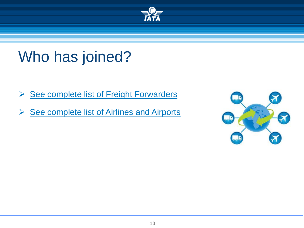

### Who has joined?

- **► [See complete list of Freight Forwarders](https://matchmaker.iata.org/efReport/ffAndAffiliatesAgrReport)**
- ▶ [See complete list of Airlines and Airports](https://matchmaker.iata.org/efReport/airlinesAndAirportsAgrReport)

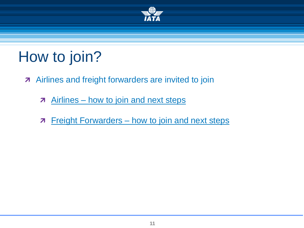

# How to join?

- **A** Airlines and freight forwarders are invited to join
	- **Airlines [how to join and next steps](http://www.iata.org/whatwedo/cargo/e/eawb/Pages/multilateral-airlines.aspx)**
	- **7** Freight Forwarders [how to join and next steps](http://www.iata.org/whatwedo/cargo/e/eawb/Pages/multilateral-forwarders.aspx)